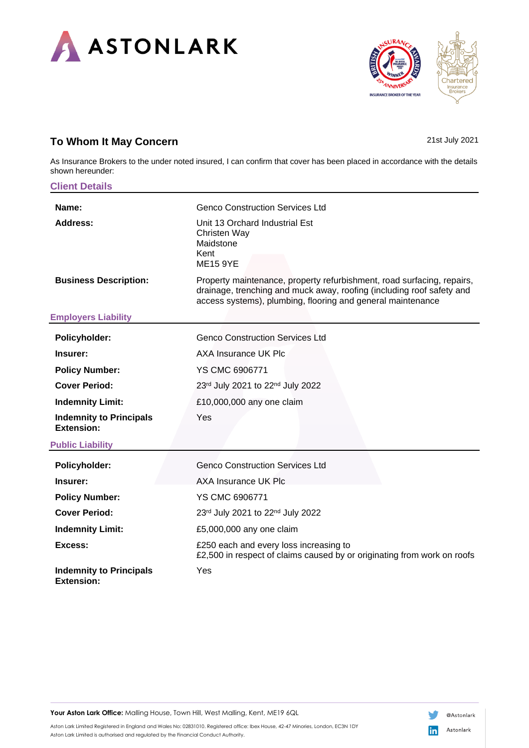



# **To Whom It May Concern** 21st July 2021

As Insurance Brokers to the under noted insured, I can confirm that cover has been placed in accordance with the details shown hereunder:

| <b>Client Details</b>                               |                                                                                                                                                                                                                |  |  |
|-----------------------------------------------------|----------------------------------------------------------------------------------------------------------------------------------------------------------------------------------------------------------------|--|--|
| Name:                                               | <b>Genco Construction Services Ltd</b>                                                                                                                                                                         |  |  |
| <b>Address:</b>                                     | Unit 13 Orchard Industrial Est<br>Christen Way<br>Maidstone<br>Kent<br><b>ME15 9YE</b>                                                                                                                         |  |  |
| <b>Business Description:</b>                        | Property maintenance, property refurbishment, road surfacing, repairs,<br>drainage, trenching and muck away, roofing (including roof safety and<br>access systems), plumbing, flooring and general maintenance |  |  |
| <b>Employers Liability</b>                          |                                                                                                                                                                                                                |  |  |
| Policyholder:                                       | <b>Genco Construction Services Ltd</b>                                                                                                                                                                         |  |  |
| Insurer:                                            | AXA Insurance UK Plc                                                                                                                                                                                           |  |  |
| <b>Policy Number:</b>                               | YS CMC 6906771                                                                                                                                                                                                 |  |  |
| <b>Cover Period:</b>                                | 23rd July 2021 to 22nd July 2022                                                                                                                                                                               |  |  |
| <b>Indemnity Limit:</b>                             | £10,000,000 any one claim                                                                                                                                                                                      |  |  |
| <b>Indemnity to Principals</b><br><b>Extension:</b> | Yes                                                                                                                                                                                                            |  |  |
| <b>Public Liability</b>                             |                                                                                                                                                                                                                |  |  |
| Policyholder:                                       | <b>Genco Construction Services Ltd</b>                                                                                                                                                                         |  |  |
| Insurer:                                            | AXA Insurance UK Plc                                                                                                                                                                                           |  |  |
| <b>Policy Number:</b>                               | YS CMC 6906771                                                                                                                                                                                                 |  |  |
| <b>Cover Period:</b>                                | 23rd July 2021 to 22nd July 2022                                                                                                                                                                               |  |  |
| <b>Indemnity Limit:</b>                             | £5,000,000 any one claim                                                                                                                                                                                       |  |  |
| Excess:                                             | £250 each and every loss increasing to<br>£2,500 in respect of claims caused by or originating from work on roofs                                                                                              |  |  |
| <b>Indemnity to Principals</b><br><b>Extension:</b> | Yes                                                                                                                                                                                                            |  |  |

Your Aston Lark Office: Malling House, Town Hill, West Malling, Kent, ME19 6QL



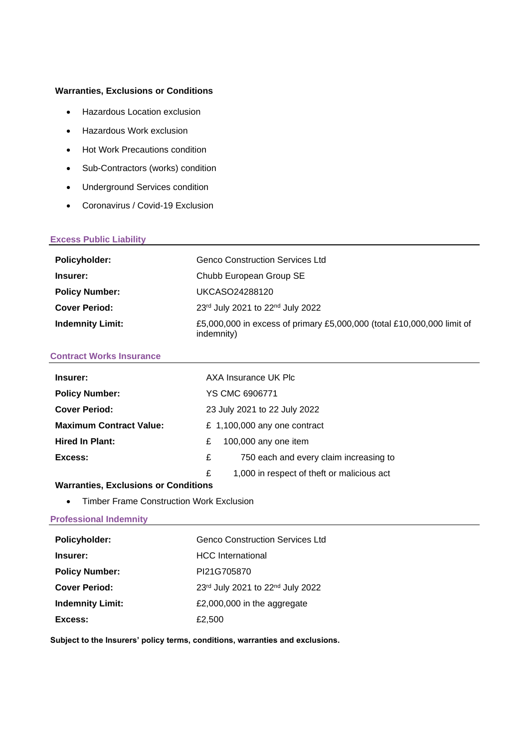# **Warranties, Exclusions or Conditions**

- Hazardous Location exclusion
- Hazardous Work exclusion
- Hot Work Precautions condition
- Sub-Contractors (works) condition
- Underground Services condition
- Coronavirus / Covid-19 Exclusion

### **Excess Public Liability**

| <b>Policyholder:</b>    | <b>Genco Construction Services Ltd</b>                                               |
|-------------------------|--------------------------------------------------------------------------------------|
| Insurer:                | Chubb European Group SE                                                              |
| <b>Policy Number:</b>   | UKCASO24288120                                                                       |
| <b>Cover Period:</b>    | 23rd July 2021 to 22nd July 2022                                                     |
| <b>Indemnity Limit:</b> | £5,000,000 in excess of primary £5,000,000 (total £10,000,000 limit of<br>indemnity) |

### **Contract Works Insurance**

| Insurer:                       |                              | AXA Insurance UK Plc                       |  |
|--------------------------------|------------------------------|--------------------------------------------|--|
| <b>Policy Number:</b>          | YS CMC 6906771               |                                            |  |
| <b>Cover Period:</b>           | 23 July 2021 to 22 July 2022 |                                            |  |
| <b>Maximum Contract Value:</b> |                              | £ 1,100,000 any one contract               |  |
| <b>Hired In Plant:</b>         | £                            | 100,000 any one item                       |  |
| Excess:                        | £                            | 750 each and every claim increasing to     |  |
|                                | £                            | 1,000 in respect of theft or malicious act |  |

# **Warranties, Exclusions or Conditions**

• Timber Frame Construction Work Exclusion

# **Professional Indemnity**

| <b>Policyholder:</b>    | <b>Genco Construction Services Ltd</b> |
|-------------------------|----------------------------------------|
| Insurer:                | <b>HCC</b> International               |
| <b>Policy Number:</b>   | PI21G705870                            |
| <b>Cover Period:</b>    | 23rd July 2021 to 22nd July 2022       |
| <b>Indemnity Limit:</b> | £2,000,000 in the aggregate            |
| Excess:                 | £2,500                                 |

**Subject to the Insurers' policy terms, conditions, warranties and exclusions.**